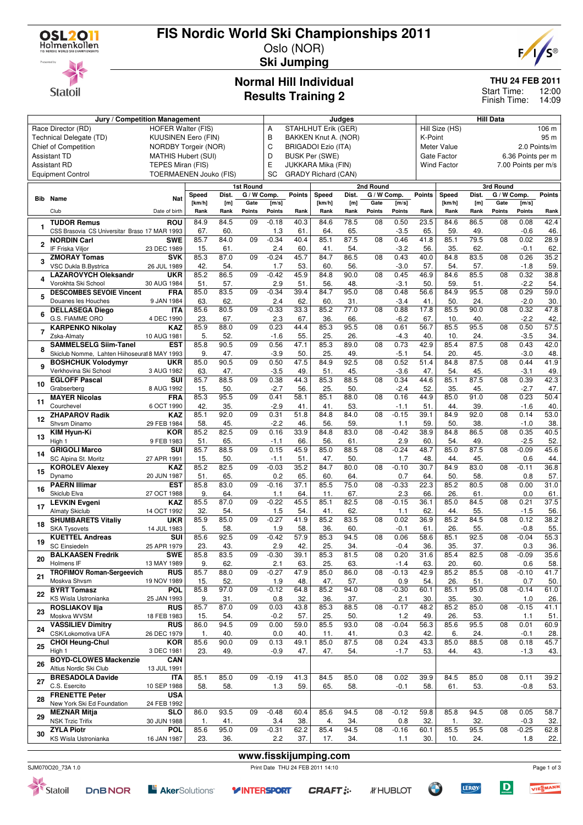

# **FIS Nordic World Ski Championships 2011**

 $\mathbf{F}$ 



#### Oslo (NOR) **Ski Jumping**

### **Normal Hill Individual Results Training 2**

#### **THU 24 FEB 2011**

12:00 Finish Time: 14:09 Start Time:

|              | Jury / Competition Management                                             |                               |                |                           |                 |                 | Judges                     |                            |             |                 | <b>Hill Data</b> |               |                    |             |                   |                     |              |
|--------------|---------------------------------------------------------------------------|-------------------------------|----------------|---------------------------|-----------------|-----------------|----------------------------|----------------------------|-------------|-----------------|------------------|---------------|--------------------|-------------|-------------------|---------------------|--------------|
|              | Race Director (RD)                                                        | <b>HOFER Walter (FIS)</b>     |                |                           |                 | Α               |                            | STAHLHUT Erik (GER)        |             |                 |                  |               | Hill Size (HS)     |             |                   |                     | 106 m        |
|              | Technical Delegate (TD)                                                   | <b>KUUSINEN Eero (FIN)</b>    |                | B<br>BAKKEN Knut A. (NOR) |                 |                 |                            |                            |             |                 | K-Point<br>95 m  |               |                    |             |                   |                     |              |
|              | Chief of Competition                                                      | NORDBY Torgeir (NOR)          |                |                           |                 | C               |                            | <b>BRIGADOI Ezio (ITA)</b> |             |                 |                  |               | Meter Value        |             |                   |                     | 2.0 Points/m |
|              | <b>Assistant TD</b>                                                       | <b>MATHIS Hubert (SUI)</b>    |                |                           |                 |                 | D<br><b>BUSK Per (SWE)</b> |                            |             |                 |                  |               |                    |             | 6.36 Points per m |                     |              |
|              | <b>Assistant RD</b>                                                       | TEPES Miran (FIS)             |                |                           |                 | E               |                            | JUKKARA Mika (FIN)         |             |                 |                  |               | <b>Wind Factor</b> |             |                   | 7.00 Points per m/s |              |
|              | <b>Equipment Control</b>                                                  | <b>TOERMAENEN Jouko (FIS)</b> |                |                           |                 | SC              |                            | <b>GRADY Richard (CAN)</b> |             |                 |                  |               |                    |             |                   |                     |              |
|              |                                                                           |                               |                |                           | 1st Round       |                 |                            |                            |             | 2nd Round       |                  |               |                    |             | 3rd Round         |                     |              |
| Bib          | Name                                                                      | Nat                           | Speed          | Dist.                     | G / W Comp.     |                 | <b>Points</b>              | Speed                      | Dist.       | G / W Comp.     |                  | <b>Points</b> | Speed              | Dist.       | G / W Comp.       |                     | Points       |
|              | Club                                                                      | Date of birth                 | [km/h]<br>Rank | [m]<br>Rank               | Gate<br>Points  | [m/s]<br>Points | Rank                       | [km/h]<br>Rank             | [m]<br>Rank | Gate<br>Points  | [m/s]<br>Points  | Rank          | [km/h]<br>Rank     | [m]<br>Rank | Gate<br>Points    | [m/s]<br>Points     | Rank         |
|              | <b>TUDOR Remus</b>                                                        | ROU                           | 84.9           | 84.5                      | 09              | $-0.18$         | 40.3                       | 84.6                       | 78.5        | 08              | 0.50             | 23.5          | 84.6               | 86.5        | 08                | 0.08                | 42.4         |
| 1            | CSS Brasovia CS Universitar Braso 17 MAR 1993                             |                               | 67.            | 60.                       |                 | 1.3             | 61.                        | 64.                        | 65.         |                 | $-3.5$           | 65.           | 59.                | 49.         |                   | $-0.6$              | 46           |
|              | <b>NORDIN Carl</b>                                                        | <b>SWE</b>                    | 85.7           | 84.0                      | 09              | $-0.34$         | 40.4                       | 85.1                       | 87.5        | 08              | 0.46             | 41.8          | 85.1               | 79.5        | 08                | 0.02                | 28.9         |
| $\mathbf{2}$ | IF Friska Viljor                                                          | 23 DEC 1989                   | 15.            | 61.                       |                 | 2.4             | 60.                        | 41.                        | 54.         |                 | $-3.2$           | 56.           | 35.                | 62.         |                   | $-0.1$              | 62           |
| 3            | <b>ZMORAY Tomas</b>                                                       | <b>SVK</b>                    | 85.3           | 87.0                      | $\overline{09}$ | $-0.24$         | 45.7                       | 84.7                       | 86.5        | 08              | 0.43             | 40.0          | 84.8               | 83.5        | $\overline{08}$   | 0.26                | 35.2         |
|              | VSC Dukla B.Bystrica                                                      | 26 JUL 1989                   | 42.            | 54.                       |                 | 1.7             | 53.                        | 60.                        | 56.         |                 | $-3.0$           | 57.           | 54.                | 57.         |                   | $-1.8$              | 59           |
| 4            | <b>LAZAROVYCH Oleksandr</b>                                               | <b>UKR</b>                    | 85.2           | 86.5                      | 09              | $-0.42$         | 45.9                       | 84.8                       | 90.0        | 08              | 0.45             | 46.9          | 84.6               | 85.5        | 08                | 0.32                | 38.8         |
|              | Vorokhta Ski School<br><b>DESCOMBES SEVOIE Vincent</b>                    | 30 AUG 1984<br><b>FRA</b>     | 51.<br>85.0    | 57.<br>83.5               | 09              | 2.9<br>$-0.34$  | 51.<br>39.4                | 56.<br>84.7                | 48.<br>95.0 | 08              | $-3.1$<br>0.48   | 50<br>56.6    | 59.<br>84.9        | 51.<br>95.5 | 08                | $-2.2$<br>0.29      | 54<br>59.0   |
|              | Douanes les Houches                                                       | 9 JAN 1984                    | 63.            | 62.                       |                 | 2.4             | 62.                        | 60.                        | 31.         |                 | $-3.4$           | 41.           | 50                 | 24.         |                   | $-2.0$              | 30           |
|              | <b>DELLASEGA Diego</b>                                                    | ITA                           | 85.6           | 80.5                      | 09              | $-0.33$         | 33.3                       | 85.2                       | 77.0        | 08              | 0.88             | 17.8          | 85.5               | 90.0        | 08                | 0.32                | 47.8         |
| 6            | G.S. FIAMME ORO                                                           | 4 DEC 1990                    | 23.            | 67.                       |                 | 2.3             | 67.                        | 36.                        | 66.         |                 | $-6.2$           | 67.           | 10.                | 40.         |                   | $-2.2$              | 42           |
|              | <b>KARPENKO Nikolay</b>                                                   | <b>KAZ</b>                    | 85.9           | 88.0                      | 09              | 0.23            | 44.4                       | 85.3                       | 95.5        | 08              | 0.61             | 56.7          | 85.5               | 95.5        | 08                | 0.50                | 57.5         |
|              | Zska-Almaty                                                               | 10 AUG 1981                   | 5.             | 52.                       |                 | $-1.6$          | 55.                        | 25.                        | 26.         |                 | $-4.3$           | 40            | 10                 | 24.         |                   | $-3.5$              | 34.          |
| 8            | <b>SAMMELSELG Siim-Tanel</b>                                              | <b>EST</b>                    | 85.8           | 90.5                      | 09              | 0.56            | 47.1                       | 85.3                       | 89.0        | 08              | 0.73             | 42.9          | 85.4               | 87.5        | 08                | 0.43                | 42.0         |
|              | Skiclub Nomme, Lahten Hiihoseural 8 MAY 1993<br><b>BOSHCHUK Volodymyr</b> | <b>UKR</b>                    | 9.<br>85.0     | 47.<br>90.5               | 09              | $-3.9$<br>0.50  | 50.<br>47.5                | 25.<br>84.9                | 49.<br>92.5 | 08              | $-5.1$<br>0.52   | 54.<br>51.4   | 20.<br>84.8        | 45.<br>87.5 | 08                | $-3.0$<br>0.44      | 48<br>41.9   |
| 9            | Verkhovina Ski School                                                     | 3 AUG 1982                    | 63.            | 47.                       |                 | $-3.5$          | 49.                        | 51.                        | 45.         |                 | $-3.6$           | 47.           | 54.                | 45.         |                   | $-3.1$              | 49           |
|              | <b>EGLOFF Pascal</b>                                                      | <b>SUI</b>                    | 85.7           | 88.5                      | 09              | 0.38            | 44.3                       | 85.3                       | 88.5        | 08              | 0.34             | 44.6          | 85.1               | 87.5        | 08                | 0.39                | 42.3         |
| 10           | Grabserberg                                                               | 8 AUG 1992                    | 15.            | 50.                       |                 | $-2.7$          | 56.                        | 25.                        | 50.         |                 | $-2.4$           | 52.           | 35.                | 45.         |                   | $-2.7$              | 47.          |
| 11           | <b>MAYER Nicolas</b>                                                      | <b>FRA</b>                    | 85.3           | 95.5                      | 09              | 0.41            | 58.1                       | 85.1                       | 88.0        | 08              | 0.16             | 44.9          | 85.0               | 91.0        | $\overline{08}$   | 0.23                | 50.4         |
|              | Courchevel                                                                | 6 OCT 1990                    | 42.            | 35.                       |                 | $-2.9$          | 41                         | 41.                        | 53.         |                 | $-1.1$           | 51            | 44.                | 39.         |                   | $-1.6$              | 40.          |
| 12           | <b>ZHAPAROV Radik</b><br>Shvsm Dinamo                                     | <b>KAZ</b><br>29 FEB 1984     | 85.1<br>58.    | 92.0<br>45.               | $\overline{09}$ | 0.31<br>$-2.2$  | 51.8<br>46.                | 84.8<br>56.                | 84.0<br>59. | $\overline{08}$ | $-0.15$<br>1.1   | 39.1<br>59.   | 84.9<br>50.        | 92.0<br>38. | $\overline{08}$   | 0.14<br>$-1.0$      | 53.0<br>38   |
|              | <b>KIM Hyun-Ki</b>                                                        | <b>KOR</b>                    | 85.2           | 82.5                      | 09              | 0.16            | 33.9                       | 84.8                       | 83.0        | 08              | $-0.42$          | 38.9          | 84.8               | 86.5        | 08                | 0.35                | 40.5         |
| 13           | High 1                                                                    | 9 FEB 1983                    | 51.            | 65.                       |                 | $-1.1$          | 66.                        | 56.                        | 61.         |                 | 2.9              | 60.           | 54.                | 49.         |                   | $-2.5$              | 52           |
|              | <b>GRIGOLI Marco</b>                                                      | SUI                           | 85.7           | 88.5                      | $\overline{09}$ | 0.15            | 45.9                       | 85.0                       | 88.5        | 08              | $-0.24$          | 48.7          | 85.0               | 87.5        | $\overline{08}$   | $-0.09$             | 45.6         |
| 14           | SC Alpina St. Moritz                                                      | 27 APR 1991                   | 15.            | 50.                       |                 | $-1.1$          | 51.                        | 47                         | 50.         |                 | 1.7              | 48.           | 44.                | 45.         |                   | 0.6                 | 44.          |
| 15           | <b>KOROLEV Alexev</b>                                                     | <b>KAZ</b>                    | 85.2           | 82.5                      | 09              | $-0.03$         | 35.2                       | 84.7                       | 80.0        | 08              | $-0.10$          | 30.7          | 84.9               | 83.0        | 08                | $-0.11$             | 36.8         |
|              | Dynamo                                                                    | 20 JUN 1987                   | 51.            | 65.                       |                 | 0.2             | 65.                        | 60.                        | 64.         |                 | 0.7              | 64.           | 50.                | 58.         |                   | 0.8                 | 57.          |
| 16           | <b>PAERN Illimar</b><br>Skiclub Elva                                      | <b>EST</b><br>27 OCT 1988     | 85.8<br>9.     | 83.0<br>64.               | 09              | $-0.16$<br>1.1  | 37.1<br>64                 | 85.5<br>11.                | 75.0<br>67. | 08              | $-0.33$<br>2.3   | 22.3<br>66.   | 85.2<br>26.        | 80.5<br>61. | 08                | 0.00<br>0.0         | 31.0<br>61   |
|              | <b>LEVKIN Evgeni</b>                                                      | <b>KAZ</b>                    | 85.5           | 87.0                      | $\overline{09}$ | $-0.22$         | 45.5                       | 85.1                       | 82.5        | 08              | $-0.15$          | 36.1          | 85.0               | 84.5        | 08                | 0.21                | 37.5         |
| 17           | <b>Almaty Skiclub</b>                                                     | 14 OCT 1992                   | 32.            | 54.                       |                 | 1.5             | 54.                        | 41.                        | 62.         |                 | 1.1              | 62.           | 44.                | 55.         |                   | $-1.5$              | 56.          |
|              | <b>SHUMBARETS Vitaliy</b>                                                 | <b>UKR</b>                    | 85.9           | 85.0                      | 09              | $-0.27$         | 41.9                       | 85.2                       | 83.5        | 08              | 0.02             | 36.9          | 85.2               | 84.5        | 08                | 0.12                | 38.2         |
| 18           | <b>SKA Tysovets</b>                                                       | 14 JUL 1983                   | 5.             | 58.                       |                 | 1.9             | 58.                        | 36.                        | 60.         |                 | $-0.1$           | 61.           | 26.                | 55.         |                   | $-0.8$              | 55.          |
| 19           | <b>KUETTEL Andreas</b>                                                    | SUI                           | 85.6           | 92.5                      | 09              | $-0.42$         | 57.9                       | 85.3                       | 94.5        | 08              | 0.06             | 58.6          | 85.1               | 92.5        | 08                | $-0.04$             | 55.3         |
|              | <b>SC Einsiedeln</b><br><b>BALKAASEN Fredrik</b>                          | 25 APR 1979<br><b>SWE</b>     | 23.<br>85.8    | 43.<br>83.5               | 09              | 2.9<br>$-0.30$  | 42.<br>39.1                | 25.<br>85.3                | 34.<br>81.5 | 08              | $-0.4$<br>0.20   | 36.<br>31.6   | 35.<br>85.4        | 37.<br>82.5 | 08                | 0.3<br>$-0.09$      | 36.<br>35.6  |
| 20           | Holmens IF                                                                | 13 MAY 1989                   | 9.             | 62.                       |                 | 2.1             | 63.                        | 25.                        | 63.         |                 | $-1.4$           | 63.           | 20.                | 60.         |                   | 0.6                 | 58.          |
|              | <b>TROFIMOV Roman-Sergeevich</b>                                          | <b>RUS</b>                    | 85.7           | 88.0                      | 09              | $-0.27$         | 47.9                       | 85.0                       | 86.0        | 08              | $-0.13$          | 42.9          | 85.2               | 85.5        | 08                | $-0.10$             | 41.7         |
| 21           | Moskva Shvsm                                                              | 19 NOV 1989                   | 15.            | 52.                       |                 | 1.9             | 48.                        | 47.                        | 57.         |                 | 0.9              | 54.           | 26.                | 51.         |                   | 0.7                 | 50.          |
| 22           | <b>BYRT Tomasz</b>                                                        | <b>POL</b>                    | 85.8           | 97.0                      | $\overline{09}$ | $-0.12$         | 64.8                       | 85.2                       | 94.0        | 08              | $-0.30$          | 60.1          | 85.1               | 95.0        | $\overline{08}$   | $-0.14$             | 61.0         |
|              | KS Wisla Ustronianka                                                      | 25 JAN 1993                   | 9.             | 31.                       |                 | 0.8             | 32.                        | 36.                        | 37.         |                 | 2.1              | 30.           | 35.                | 30.         |                   | 1.0                 | 26.          |
| 23           | <b>ROSLIAKOV IIja</b><br>Moskva WVSM                                      | <b>RUS</b><br>18 FEB 1983     | 85.7           | 87.0                      | 09              | 0.03            | 43.8                       | 85.3                       | 88.5        | 08              | $-0.17$          | 48.2          | 85.2               | 85.0        | 08                | $-0.15$             | 41.1         |
|              | <b>VASSILIEV Dimitry</b>                                                  | <b>RUS</b>                    | 15.<br>86.0    | 54.<br>94.5               | 09              | $-0.2$<br>0.00  | 57.<br>59.0                | 25.<br>85.5                | 50.<br>93.0 | 08              | 1.2<br>$-0.04$   | 49.<br>56.3   | 26.<br>85.6        | 53.<br>95.5 | 08                | 1.1<br>0.01         | 51.<br>60.9  |
| 24           | CSK/Lokomotiva UFA                                                        | 26 DEC 1979                   | 1.             | 40.                       |                 | 0.0             | 40.                        | 11.                        | 41.         |                 | 0.3              | 42.           | 6.                 | 24.         |                   | $-0.1$              | 28.          |
|              | <b>CHOI Heung-Chul</b>                                                    | <b>KOR</b>                    | 85.6           | 90.0                      | 09              | 0.13            | 49.1                       | 85.0                       | 87.5        | 08              | 0.24             | 43.3          | 85.0               | 88.5        | 08                | 0.18                | 45.7         |
| 25           | High 1                                                                    | 3 DEC 1981                    | 23.            | 49.                       |                 | $-0.9$          | 47.                        | 47.                        | 54.         |                 | $-1.7$           | 53.           | 44.                | 43.         |                   | $-1.3$              | 43.          |
| 26           | <b>BOYD-CLOWES Mackenzie</b>                                              | <b>CAN</b>                    |                |                           |                 |                 |                            |                            |             |                 |                  |               |                    |             |                   |                     |              |
|              | Altius Nordic Ski Club                                                    | 13 JUL 1991                   |                |                           |                 |                 |                            |                            |             |                 |                  |               |                    |             |                   |                     |              |
| 27           | <b>BRESADOLA Davide</b><br>C.S. Esercito                                  | ITA<br>10 SEP 1988            | 85.1<br>58.    | 85.0<br>58.               | 09              | $-0.19$<br>1.3  | 41.3<br>59.                | 84.5<br>65.                | 85.0<br>58. | 08              | 0.02<br>$-0.1$   | 39.9<br>58.   | 84.5<br>61.        | 85.0<br>53. | 08                | 0.11<br>$-0.8$      | 39.2<br>53.  |
|              | <b>FRENETTE Peter</b>                                                     | <b>USA</b>                    |                |                           |                 |                 |                            |                            |             |                 |                  |               |                    |             |                   |                     |              |
| 28           | New York Ski Ed Foundation                                                | 24 FEB 1992                   |                |                           |                 |                 |                            |                            |             |                 |                  |               |                    |             |                   |                     |              |
| 29           | <b>MEZNAR Mitja</b>                                                       | <b>SLO</b>                    | 86.0           | 93.5                      | 09              | $-0.48$         | 60.4                       | 85.6                       | 94.5        | 08              | $-0.12$          | 59.8          | 85.8               | 94.5        | 08                | 0.05                | 58.7         |
|              | <b>NSK Trzic Trifix</b>                                                   | 30 JUN 1988                   | 1.             | 41.                       |                 | 3.4             | 38.                        | 4.                         | 34.         |                 | 0.8              | 32.           | 1.                 | 32.         |                   | $-0.3$              | 32.          |
| 30           | <b>ZYLA Piotr</b>                                                         | <b>POL</b>                    | 85.6           | 95.0                      | 09              | $-0.31$         | 62.2                       | 85.4                       | 94.5        | 08              | $-0.16$          | 60.1          | 85.5               | 95.5        | 08                | $-0.25$             | 62.8         |
|              | KS Wisla Ustronianka                                                      | 16 JAN 1987                   | 23.            | 36.                       |                 | 2.2             | 37.                        | 17.                        | 34.         |                 | 1.1              | 30.           | 10.                | 24.         |                   | 1.8                 | 22.          |



**E** AkerSolutions<sup>®</sup> **Y INTERSPORT** 



**www.fisskijumping.com**

**LEROY** 



Page 1 of 3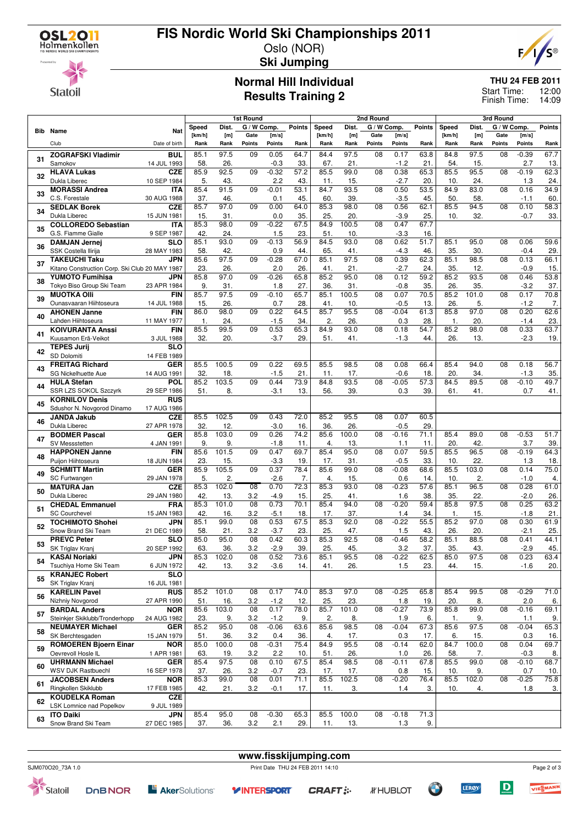

### **FIS Nordic World Ski Championships 2011** Oslo (NOR)



**Statoil** 

## **Ski Jumping**

#### **Normal Hill Individual Results Training 2**

### **THU 24 FEB 2011**

12:00 Finish Time: 14:09 Start Time:

|    |                                                    |                           |                     |                  | 1st Round       |                |                          | 2nd Round            |             |                 |                | 3rd Round     |             |                          |                 |                |               |
|----|----------------------------------------------------|---------------------------|---------------------|------------------|-----------------|----------------|--------------------------|----------------------|-------------|-----------------|----------------|---------------|-------------|--------------------------|-----------------|----------------|---------------|
|    |                                                    |                           | Speed               | Dist.            | G / W Comp.     |                | <b>Points</b>            | Speed                | Dist.       | G / W Comp.     |                | <b>Points</b> | Speed       | Dist.                    | G / W Comp.     |                | <b>Points</b> |
|    | <b>Bib</b> Name                                    | Nat                       | [km/h]              | [m]              | Gate            | [m/s]          |                          | [km/h]               | [m]         | Gate            | [m/s]          |               | [km/h]      | [m]                      | Gate            | [m/s]          |               |
|    | Club                                               | Date of birth             | Rank                | Rank             | Points          | Points         | Rank                     | Rank                 | Rank        | Points          | Points         | Rank          | Rank        | Rank                     | Points          | Points         | Rank          |
| 31 | <b>ZOGRAFSKI Vladimir</b>                          | <b>BUL</b>                | 85.1                | 97.5             | 09              | 0.05           | 64.7                     | 84.4                 | 97.5        | 08              | 0.17           | 63.8          | 84.8        | 97.5                     | 08              | $-0.39$        | 67.7          |
|    | Samokov<br><b>HLAVA Lukas</b>                      | 14 JUL 1993               | 58.<br>85.9         | 26.<br>92.5      | $\overline{09}$ | $-0.3$         | 33.<br>$\overline{57.2}$ | 67.<br>85.5          | 21.<br>99.0 | $\overline{08}$ | $-1.2$         | 21.           | 54.<br>85.5 | 15.<br>95.5              | $\overline{08}$ | 2.7<br>$-0.19$ | 13.           |
| 32 | Dukla Liberec                                      | <b>CZE</b><br>10 SEP 1984 | 5.                  | 43.              |                 | $-0.32$<br>2.2 | 43.                      | 11.                  | 15.         |                 | 0.38<br>$-2.7$ | 65.3<br>20.   | 10.         | 24.                      |                 | 1.3            | 62.3<br>24.   |
|    | <b>MORASSI Andrea</b>                              | <b>ITA</b>                | 85.4                | 91.5             | 09              | $-0.01$        | 53.1                     | 84.7                 | 93.5        | 08              | 0.50           | 53.5          | 84.9        | 83.0                     | 08              | 0.16           | 34.9          |
| 33 | C.S. Forestale                                     | 30 AUG 1988               | 37.                 | 46.              |                 | 0.1            | 45                       | 60                   | 39.         |                 | $-3.5$         | 45.           | 50.         | 58.                      |                 | $-1.1$         | 60.           |
| 34 | <b>SEDLAK Borek</b>                                | <b>CZE</b>                | 85.7                | 97.0             | 09              | 0.00           | 64.0                     | 85.3                 | 98.0        | 08              | 0.56           | 62.1          | 85.5        | 94.5                     | 08              | 0.10           | 58.3          |
|    | Dukla Liberec                                      | 15 JUN 1981               | 15.                 | 31.              |                 | 0.0            | 35.                      | 25.                  | 20.         |                 | $-3.9$         | 25.           | 10.         | 32.                      |                 | $-0.7$         | 33.           |
| 35 | <b>COLLOREDO Sebastian</b>                         | <b>ITA</b>                | 85.3                | 98.0             | 09              | $-0.22$        | 67.5                     | 84.9                 | 100.5       | 08              | 0.47           | 67.7          |             |                          |                 |                |               |
|    | G.S. Fiamme Gialle                                 | 9 SEP 1987                | 42.                 | 24.              |                 | 1.5            | 23.                      | 51.                  | 10.         |                 | $-3.3$         | 16.           |             |                          |                 |                |               |
| 36 | <b>DAMJAN Jernei</b><br>SSK Costella Ilirija       | <b>SLO</b><br>28 MAY 1983 | 85.1<br>58.         | 93.0<br>42.      | 09              | $-0.13$<br>0.9 | 56.9<br>44.              | 84.5<br>65           | 93.0<br>41. | 08              | 0.62<br>$-4.3$ | 51.7<br>46.   | 85.1<br>35. | 95.0<br>30.              | 08              | 0.06<br>$-0.4$ | 59.6<br>29.   |
|    | <b>TAKEUCHI Taku</b>                               | <b>JPN</b>                | 85.6                | $\frac{97.5}{ }$ | 09              | $-0.28$        | 67.0                     | 85.1                 | 97.5        | 08              | 0.39           | 62.3          | 85.1        | 98.5                     | $\overline{08}$ | 0.13           | 66.1          |
| 37 | Kitano Construction Corp. Ski Club 20 MAY 1987     |                           | 23.                 | 26.              |                 | 2.0            | 26                       | 41.                  | 21.         |                 | $-2.7$         | 24.           | 35.         | 12.                      |                 | $-0.9$         | 15.           |
|    | <b>YUMOTO Fumihisa</b>                             | JPN                       | 85.8                | 97.0             | 09              | $-0.26$        | 65.8                     | 85.2                 | 95.0        | 08              | 0.12           | 59.2          | 85.2        | 93.5                     | 08              | 0.46           | 53.8          |
| 38 | Tokyo Biso Group Ski Team                          | 23 APR 1984               | 9.                  | 31.              |                 | 1.8            | 27.                      | 36.                  | 31.         |                 | $-0.8$         | 35.           | 26.         | 35.                      |                 | $-3.2$         | 37.           |
| 39 | <b>MUOTKA OIIi</b>                                 | <b>FIN</b>                | 85.7                | 97.5             | 09              | $-0.10$        | 65.7                     | 85.1                 | 100.5       | 08              | 0.07           | 70.5          | 85.2        | 101.0                    | 08              | 0.17           | 70.8          |
|    | Ounasvaaran Hiihtoseura                            | 14 JUL 1988               | 15                  | 26.              |                 | 0.7            | 28                       | 41.                  | 10.         |                 | $-0.5$         | 13.           | 26.         | 5.                       |                 | $-1.2$         | 7.            |
| 40 | <b>AHONEN Janne</b><br>Lahden Hiihtoseura          | <b>FIN</b><br>11 MAY 1977 | 86.0<br>$\mathbf 1$ | 98.0<br>24.      | $\overline{09}$ | 0.22<br>$-1.5$ | 64.5                     | 85.7<br>$\mathbf{2}$ | 95.5<br>26. | $\overline{08}$ | $-0.04$<br>0.3 | 61.3<br>28.   | 85.8<br>1.  | $\overline{97.0}$<br>20. | $\overline{08}$ | 0.20           | 62.6          |
|    | <b>KOIVURANTA Anssi</b>                            | <b>FIN</b>                | 85.5                | 99.5             | 09              | 0.53           | 34.<br>65.3              | 84.9                 | 93.0        | 08              | 0.18           | 54.7          | 85.2        | 98.0                     | 08              | $-1.4$<br>0.33 | 23.<br>63.7   |
| 41 | Kuusamon Erä-Veikot                                | 3 JUL 1988                | 32.                 | 20.              |                 | $-3.7$         | 29                       | 51.                  | 41.         |                 | $-1.3$         | 44.           | 26.         | 13.                      |                 | $-2.3$         | 19.           |
|    | <b>TEPES Jurij</b>                                 | <b>SLO</b>                |                     |                  |                 |                |                          |                      |             |                 |                |               |             |                          |                 |                |               |
| 42 | SD Dolomiti                                        | 14 FEB 1989               |                     |                  |                 |                |                          |                      |             |                 |                |               |             |                          |                 |                |               |
| 43 | <b>FREITAG Richard</b>                             | <b>GER</b>                | 85.5                | 100.5            | 09              | 0.22           | 69.5                     | 85.5                 | 98.5        | 08              | 0.08           | 66.4          | 85.4        | 94.0                     | $\overline{08}$ | 0.18           | 56.7          |
|    | SG Nickelhuette Aue                                | 14 AUG 1991               | 32.                 | 18.              |                 | $-1.5$         | 21.                      | 11.                  | 17.         |                 | $-0.6$         | 18.           | 20.         | 34.                      |                 | $-1.3$         | 35.           |
| 44 | <b>HULA Stefan</b><br>SSR LZS SOKOL Szczyrk        | POL<br>29 SEP 1986        | 85.2<br>51.         | 103.5<br>8.      | 09              | 0.44<br>$-3.1$ | 73.9<br>13.              | 84.8<br>56.          | 93.5<br>39. | 08              | $-0.05$<br>0.3 | 57.3<br>39.   | 84.5<br>61. | 89.5<br>41.              | 08              | $-0.10$<br>0.7 | 49.7<br>41.   |
|    | <b>KORNILOV Denis</b>                              | <b>RUS</b>                |                     |                  |                 |                |                          |                      |             |                 |                |               |             |                          |                 |                |               |
| 45 | Sdushor N. Novgorod Dinamo                         | 17 AUG 1986               |                     |                  |                 |                |                          |                      |             |                 |                |               |             |                          |                 |                |               |
|    | <b>JANDA Jakub</b>                                 | <b>CZE</b>                | 85.5                | 102.5            | 09              | 0.43           | 72.0                     | 85.2                 | 95.5        | 08              | 0.07           | 60.5          |             |                          |                 |                |               |
| 46 | Dukla Liberec                                      | 27 APR 1978               | 32.                 | 12.              |                 | $-3.0$         | 16.                      | 36                   | 26.         |                 | $-0.5$         | 29            |             |                          |                 |                |               |
| 47 | <b>BODMER Pascal</b>                               | <b>GER</b>                | 85.8                | 103.0            | 09              | 0.26           | 74.2                     | 85.6                 | 100.0       | 08              | $-0.16$        | 71.1          | 85.4        | 89.0                     | 08              | $-0.53$        | 51.7          |
|    | SV Messstetten                                     | 4 JAN 1991                | 9.                  | 9.               |                 | $-1.8$         | 11                       | 4.                   | 13.<br>95.0 |                 | 1.1            | 11.           | 20.         | 42                       |                 | 3.7            | 39.           |
| 48 | <b>HAPPONEN Janne</b><br>Puijon Hiihtoseura        | <b>FIN</b><br>18 JUN 1984 | 85.6<br>23.         | 101.5<br>15.     | 09              | 0.47<br>$-3.3$ | 69.7<br>19.              | 85.4<br>17.          | 31.         | 08              | 0.07<br>$-0.5$ | 59.5<br>33.   | 85.5<br>10. | 96.5<br>22.              | $\overline{08}$ | $-0.19$<br>1.3 | 64.3<br>18.   |
|    | <b>SCHMITT Martin</b>                              | <b>GER</b>                | 85.9                | 105.5            | 09              | 0.37           | 78.4                     | 85.6                 | 99.0        | 08              | $-0.08$        | 68.6          | 85.5        | 103.0                    | 08              | 0.14           | 75.0          |
| 49 | SC Furtwangen                                      | 29 JAN 1978               | 5.                  | 2.               |                 | $-2.6$         | 7.                       | 4.                   | 15          |                 | 0.6            | 14.           | 10.         | 2.                       |                 | $-1.0$         | 4.            |
| 50 | <b>MATURA Jan</b>                                  | <b>CZE</b>                | 85.3                | 102.0            | $\overline{08}$ | 0.70           | 72.3                     | 85.3                 | 93.0        | 08              | $-0.23$        | 57.6          | 85.1        | 96.5                     | 08              | 0.28           | 61.0          |
|    | Dukla Liberec                                      | 29 JAN 1980               | 42.                 | 13.              | 3.2             | $-4.9$         | 15.                      | 25.                  | 41.         |                 | 1.6            | 38.           | 35.         | 22.                      |                 | $-2.0$         | 26.           |
| 51 | <b>CHEDAL Emmanuel</b>                             | <b>FRA</b>                | 85.3                | 101.0            | $\overline{08}$ | 0.73           | 70.1                     | 85.4                 | 94.0        | 08              | $-0.20$        | 59.4          | 85.8        | $\overline{97.5}$        | $\overline{08}$ | 0.25           | 63.2          |
|    | <b>SC Courchevel</b><br><b>TOCHIMOTO Shohei</b>    | 15 JAN 1983<br><b>JPN</b> | 42.<br>85.1         | 16.<br>99.0      | 3.2<br>08       | $-5.1$<br>0.53 | 18<br>67.5               | 17.<br>85.3          | 37.<br>92.0 | 08              | 1.4<br>$-0.22$ | 34.<br>55.5   | 1.<br>85.2  | 15.<br>97.0              | 08              | $-1.8$<br>0.30 | 21.<br>61.9   |
| 52 | Snow Brand Ski Team                                | 21 DEC 1989               | 58.                 | 21.              | 3.2             | $-3.7$         | 23.                      | 25.                  | 47.         |                 | 1.5            | 43.           | 26.         | 20.                      |                 | $-2.1$         | 25.           |
|    | <b>PREVC Peter</b>                                 | <b>SLO</b>                | 85.0                | 95.0             | 08              | 0.42           | 60.3                     | 85.3                 | 92.5        | 08              | $-0.46$        | 58.2          | 85.1        | 88.5                     | 08              | 0.41           | 44.1          |
| 53 | SK Triglav Kranj                                   | 20 SEP 1992               | 63                  | 36.              | 3.2             | $-2.9$         | 39.                      | 25.                  | 45.         |                 | 3.2            | 37.           | 35          | 43.                      |                 | $-2.9$         | 45.           |
| 54 | <b>KASAI Noriaki</b>                               | <b>JPN</b>                | 85.3                | 102.0            | 08              | 0.52           | 73.6                     | 85.1                 | 95.5        | 08              | $-0.22$        | 62.5          | 85.0        | 97.5                     | 08              | 0.23           | 63.4          |
|    | Tsuchiya Home Ski Team                             | 6 JUN 1972                | 42.                 | 13.              | 3.2             | $-3.6$         | 14.                      | 41.                  | 26.         |                 | 1.5            | 23.           | 44.         | 15.                      |                 | $-1.6$         | 20.           |
| 55 | <b>KRANJEC Robert</b>                              | <b>SLO</b>                |                     |                  |                 |                |                          |                      |             |                 |                |               |             |                          |                 |                |               |
|    | SK Triglav Kranj<br><b>KARELIN Pavel</b>           | 16 JUL 1981<br><b>RUS</b> | 85.2                | 101.0            | 08              | 0.17           | 74.0                     | 85.3                 | 97.0        | 08              | $-0.25$        | 65.8          | 85.4        | 99.5                     | 08              | $-0.29$        | 71.0          |
| 56 | Nizhniy Novgorod                                   | 27 APR 1990               | 51.                 | 16.              | 3.2             | $-1.2$         | 12.                      | 25.                  | 23.         |                 | 1.8            | 19.           | 20.         | 8.                       |                 | 2.0            | 6.            |
|    | <b>BARDAL Anders</b>                               | <b>NOR</b>                | 85.6                | 103.0            | 08              | 0.17           | 78.0                     | 85.7                 | 101.0       | 08              | $-0.27$        | 73.9          | 85.8        | 99.0                     | 08              | $-0.16$        | 69.1          |
| 57 | Steinkjer Skiklubb/Tronderhopp                     | 24 AUG 1982               | 23.                 | 9.               | 3.2             | $-1.2$         | 9.                       | 2.                   | 8.          |                 | 1.9            | 6.            | 1.          | 9.                       |                 | 1.1            | 9.            |
| 58 | <b>NEUMAYER Michael</b>                            | <b>GER</b>                | 85.2                | 95.0             | 08              | $-0.06$        | 63.6                     | 85.6                 | 98.5        | 08              | $-0.04$        | 67.3          | 85.6        | 97.5                     | 08              | $-0.04$        | 65.3          |
|    | SK Berchtesgaden                                   | 15 JAN 1979               | 51.                 | 36.              | 3.2             | 0.4            | 36.                      | 4.                   | 17.         |                 | 0.3            | 17.           | 6.          | 15.                      |                 | 0.3            | 16.           |
| 59 | <b>ROMOEREN Bjoern Einar</b><br>Oevrevoll Hosle IL | <b>NOR</b>                | 85.0<br>63.         | 100.0<br>19.     | 08<br>3.2       | $-0.31$<br>2.2 | 75.4<br>10.              | 84.9<br>51.          | 95.5        | 08              | $-0.14$<br>1.0 | 62.0<br>26.   | 84.7<br>58. | 100.0                    | 08              | 0.04<br>$-0.3$ | 69.7<br>8.    |
|    | <b>UHRMANN Michael</b>                             | 1 APR 1981<br><b>GER</b>  | 85.4                | 97.5             | 08              | 0.10           | 67.5                     | 85.4                 | 26.<br>98.5 | 08              | $-0.11$        | 67.8          | 85.5        | 7.<br>99.0               | 08              | $-0.10$        | 68.7          |
| 60 | WSV DJK Rastbuechl                                 | 16 SEP 1978               | 37.                 | 26.              | 3.2             | $-0.7$         | 23.                      | 17.                  | 17.         |                 | 0.8            | 15.           | 10.         | 9.                       |                 | 0.7            | 10.           |
|    | <b>JACOBSEN Anders</b>                             | <b>NOR</b>                | 85.3                | 99.0             | 08              | 0.01           | 71.1                     | 85.5                 | 102.5       | 08              | $-0.20$        | 76.4          | 85.5        | 102.0                    | $\overline{08}$ | $-0.25$        | 75.8          |
| 61 | Ringkollen Skiklubb                                | 17 FEB 1985               | 42.                 | 21.              | 3.2             | $-0.1$         | 17.                      | 11.                  | З.          |                 | 1.4            | 3.            | 10.         | 4.                       |                 | 1.8            | 3.            |
| 62 | <b>KOUDELKA Roman</b>                              | <b>CZE</b>                |                     |                  |                 |                |                          |                      |             |                 |                |               |             |                          |                 |                |               |
|    | LSK Lomnice nad Popelkov                           | 9 JUL 1989                |                     |                  |                 |                |                          |                      |             |                 |                |               |             |                          |                 |                |               |
| 63 | <b>ITO Daiki</b>                                   | <b>JPN</b>                | 85.4                | 95.0             | 08              | $-0.30$        | 65.3                     | 85.5                 | 100.0       | 08              | $-0.18$        | 71.3          |             |                          |                 |                |               |
|    | Snow Brand Ski Team                                | 27 DEC 1985               | 37.                 | 36.              | 3.2             | 2.1            | 29.                      | 11.                  | 13.         |                 | 1.3            | 9.            |             |                          |                 |                |               |

|                   |               |                                     | www.fisskijumping.com            |               |                         |       |           |             |
|-------------------|---------------|-------------------------------------|----------------------------------|---------------|-------------------------|-------|-----------|-------------|
| SJM070O20 73A 1.0 |               |                                     | Print Date THU 24 FEB 2011 14:10 |               |                         |       |           | Page 2 of 3 |
| Statoil           | <b>DOBNOR</b> | <b>E</b> AkerSolutions <sup>®</sup> | <b>Y INTERSPORT</b>              | <b>CRAFT:</b> | <b><i>IF</i></b> HUBLOT | LERØY | $\vert$ D | VIESMANN    |